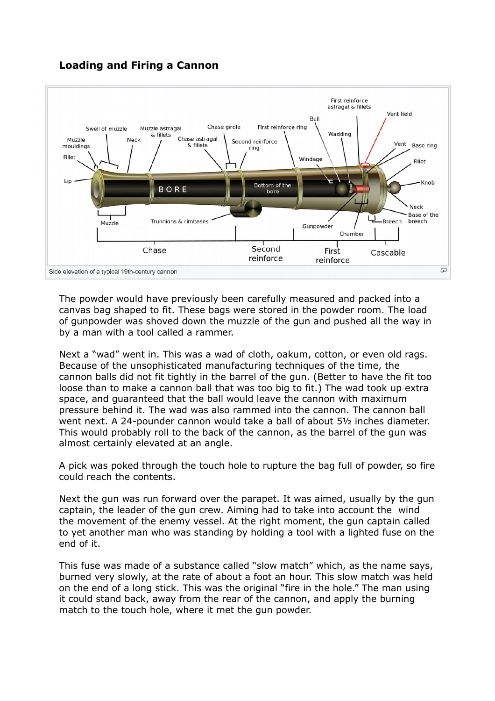## **Loading and Firing a Cannon**



The powder would have previously been carefully measured and packed into a canvas bag shaped to fit. These bags were stored in the powder room. The load of gunpowder was shoved down the muzzle of the gun and pushed all the way in by a man with a tool called a rammer.

Next a "wad" went in. This was a wad of cloth, oakum, cotton, or even old rags. Because of the unsophisticated manufacturing techniques of the time, the cannon balls did not fit tightly in the barrel of the gun. (Better to have the fit too loose than to make a cannon ball that was too big to fit.) The wad took up extra space, and guaranteed that the ball would leave the cannon with maximum pressure behind it. The wad was also rammed into the cannon. The cannon ball went next. A 24-pounder cannon would take a ball of about 5½ inches diameter. This would probably roll to the back of the cannon, as the barrel of the gun was almost certainly elevated at an angle.

A pick was poked through the touch hole to rupture the bag full of powder, so fire could reach the contents.

Next the gun was run forward over the parapet. It was aimed, usually by the gun captain, the leader of the gun crew. Aiming had to take into account the wind the movement of the enemy vessel. At the right moment, the gun captain called to yet another man who was standing by holding a tool with a lighted fuse on the end of it.

This fuse was made of a substance called "slow match" which, as the name says, burned very slowly, at the rate of about a foot an hour. This slow match was held on the end of a long stick. This was the original "fire in the hole." The man using it could stand back, away from the rear of the cannon, and apply the burning match to the touch hole, where it met the gun powder.